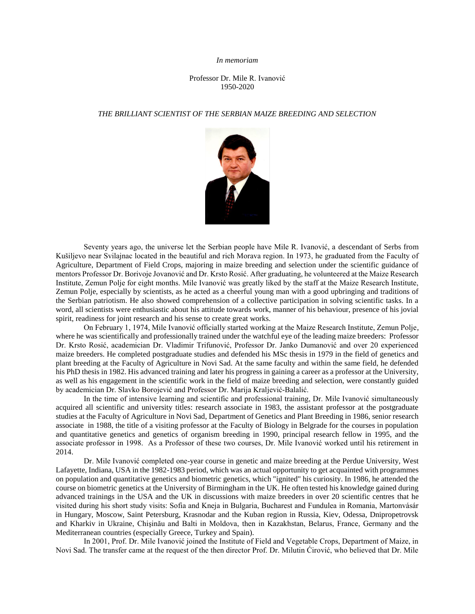## *In memoriam*

## Professor Dr. Mile R. Ivanović 1950-2020

## *THE BRILLIANT SCIENTIST OF THE SERBIAN MAIZE BREEDING AND SELECTION*



Seventy years ago, the universe let the Serbian people have Mile R. Ivanović, a descendant of Serbs from Kušiljevo near Svilajnac located in the beautiful and rich Morava region. In 1973, he graduated from the Faculty of Agriculture, Department of Field Crops, majoring in maize breeding and selection under the scientific guidance of mentors Professor Dr. Borivoje Jovanović and Dr. Krsto Rosić. After graduating, he volunteered at the Maize Research Institute, Zemun Polje for eight months. Mile Ivanović was greatly liked by the staff at the Maize Research Institute, Zemun Polje, especially by scientists, as he acted as a cheerful young man with a good upbringing and traditions of the Serbian patriotism. He also showed comprehension of a collective participation in solving scientific tasks. In a word, all scientists were enthusiastic about his attitude towards work, manner of his behaviour, presence of his jovial spirit, readiness for joint research and his sense to create great works.

On February 1, 1974, Mile Ivanović officially started working at the Maize Research Institute, Zemun Polje, where he was scientifically and professionally trained under the watchful eye of the leading maize breeders: Professor Dr. Krsto Rosić, academician Dr. Vladimir Trifunović, Professor Dr. Janko Dumanović and over 20 experienced maize breeders. He completed postgraduate studies and defended his MSc thesis in 1979 in the field of genetics and plant breeding at the Faculty of Agriculture in Novi Sad. At the same faculty and within the same field, he defended his PhD thesis in 1982. His advanced training and later his progress in gaining a career as a professor at the University, as well as his engagement in the scientific work in the field of maize breeding and selection, were constantly guided by academician Dr. Slavko Borojević and Professor Dr. Marija Kraljević-Balalić.

In the time of intensive learning and scientific and professional training, Dr. Mile Ivanović simultaneously acquired all scientific and university titles: research associate in 1983, the assistant professor at the postgraduate studies at the Faculty of Agriculture in Novi Sad, Department of Genetics and Plant Breeding in 1986, senior research associate in 1988, the title of a visiting professor at the Faculty of Biology in Belgrade for the courses in population and quantitative genetics and genetics of organism breeding in 1990, principal research fellow in 1995, and the associate professor in 1998. As a Professor of these two courses, Dr. Mile Ivanović worked until his retirement in 2014.

Dr. Mile Ivanović completed one-year course in genetic and maize breeding at the Perdue University, West Lafayette, Indiana, USA in the 1982-1983 period, which was an actual opportunity to get acquainted with programmes on population and quantitative genetics and biometric genetics, which "ignited" his curiosity. In 1986, he attended the course on biometric genetics at the University of Birmingham in the UK. He often tested his knowledge gained during advanced trainings in the USA and the UK in discussions with maize breeders in over 20 scientific centres that he visited during his short study visits: Sofia and Kneja in Bulgaria, Bucharest and Fundulea in Romania, Martonvásár in Hungary, Moscow, Saint Petersburg, Krasnodar and the Kuban region in Russia, Kiev, Odessa, Dnipropetrovsk and Kharkiv in Ukraine, Chişinău and Balti in Moldova, then in Kazakhstan, Belarus, France, Germany and the Mediterranean countries (especially Greece, Turkey and Spain).

In 2001, Prof. Dr. Mile Ivanović joined the Institute of Field and Vegetable Crops, Department of Maize, in Novi Sad. The transfer came at the request of the then director Prof. Dr. Milutin Ćirović, who believed that Dr. Mile